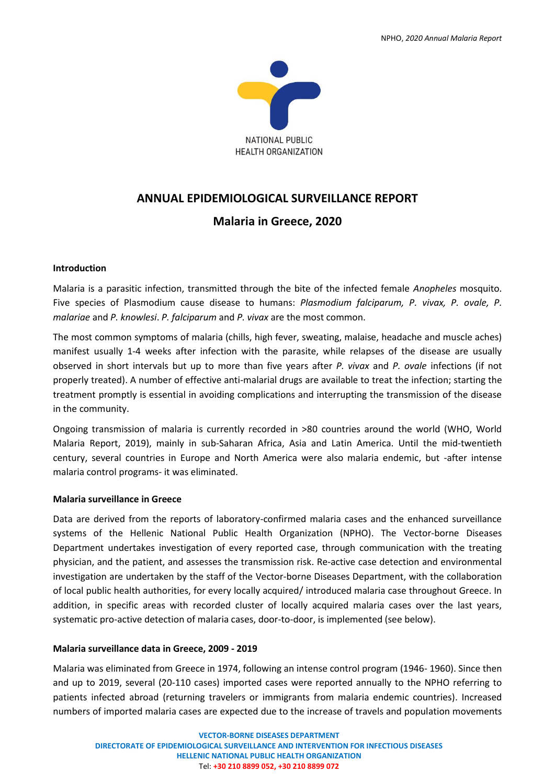

# **ANNUAL EPIDEMIOLOGICAL SURVEILLANCE REPORT**

# **Malaria in Greece, 2020**

### **Introduction**

Malaria is a parasitic infection, transmitted through the bite of the infected female *Anopheles* mosquito. Five species of Plasmodium cause disease to humans: *Plasmodium falciparum, P. vivax, P. ovale, P. malariae* and *P. knowlesi*. *P. falciparum* and *P. vivax* are the most common.

The most common symptoms of malaria (chills, high fever, sweating, malaise, headache and muscle aches) manifest usually 1-4 weeks after infection with the parasite, while relapses of the disease are usually observed in short intervals but up to more than five years after *P. vivax* and *P. ovale* infections (if not properly treated). A number of effective anti-malarial drugs are available to treat the infection; starting the treatment promptly is essential in avoiding complications and interrupting the transmission of the disease in the community.

Ongoing transmission of malaria is currently recorded in >80 countries around the world (WHO, World Malaria Report, 2019), mainly in sub-Saharan Africa, Asia and Latin America. Until the mid-twentieth century, several countries in Europe and North America were also malaria endemic, but -after intense malaria control programs- it was eliminated.

#### **Malaria surveillance in Greece**

Data are derived from the reports of laboratory-confirmed malaria cases and the enhanced surveillance systems of the Hellenic National Public Health Organization (NPHO). The Vector-borne Diseases Department undertakes investigation of every reported case, through communication with the treating physician, and the patient, and assesses the transmission risk. Re-active case detection and environmental investigation are undertaken by the staff of the Vector-borne Diseases Department, with the collaboration of local public health authorities, for every locally acquired/ introduced malaria case throughout Greece. In addition, in specific areas with recorded cluster of locally acquired malaria cases over the last years, systematic pro-active detection of malaria cases, door-to-door, is implemented (see below).

## **Malaria surveillance data in Greece, 2009 - 2019**

Malaria was eliminated from Greece in 1974, following an intense control program (1946- 1960). Since then and up to 2019, several (20-110 cases) imported cases were reported annually to the NPHO referring to patients infected abroad (returning travelers or immigrants from malaria endemic countries). Increased numbers of imported malaria cases are expected due to the increase of travels and population movements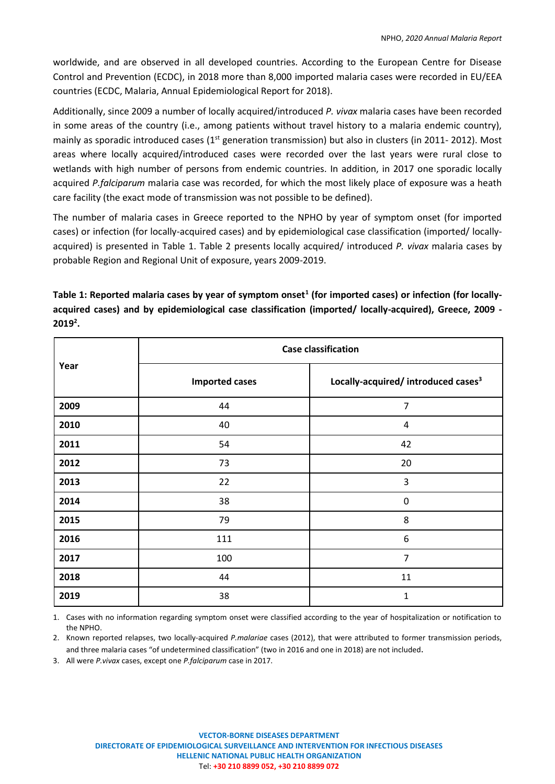worldwide, and are observed in all developed countries. According to the European Centre for Disease Control and Prevention (ECDC), in 2018 more than 8,000 imported malaria cases were recorded in EU/EEA countries (ECDC, Malaria, Annual Epidemiological Report for 2018).

Additionally, since 2009 a number of locally acquired/introduced *P. vivax* malaria cases have been recorded in some areas of the country (i.e., among patients without travel history to a malaria endemic country), mainly as sporadic introduced cases (1<sup>st</sup> generation transmission) but also in clusters (in 2011- 2012). Most areas where locally acquired/introduced cases were recorded over the last years were rural close to wetlands with high number of persons from endemic countries. In addition, in 2017 one sporadic locally acquired *P.falciparum* malaria case was recorded, for which the most likely place of exposure was a heath care facility (the exact mode of transmission was not possible to be defined).

The number of malaria cases in Greece reported to the NPHO by year of symptom onset (for imported cases) or infection (for locally-acquired cases) and by epidemiological case classification (imported/ locallyacquired) is presented in Table 1. Table 2 presents locally acquired/ introduced *P. vivax* malaria cases by probable Region and Regional Unit of exposure, years 2009-2019.

**Year Case classification Imported cases Locally-acquired/ introduced cases<sup>3</sup> 2009** 44 7 **2010** 40 4 **2011** 54 42 **2012** 73 20 **2013** 22 3 **2014** 38 0 **2015** 79 8 **2016** 111 6 **2017** 100 7 **2018** 11 **2019** 38 1

Table 1: Reported malaria cases by year of symptom onset<sup>1</sup> (for imported cases) or infection (for locally**acquired cases) and by epidemiological case classification (imported/ locally-acquired), Greece, 2009 - 2019 2 .**

1. Cases with no information regarding symptom onset were classified according to the year of hospitalization or notification to the NPHO.

2. Known reported relapses, two locally-acquired *P.malariae* cases (2012), that were attributed to former transmission periods, and three malaria cases "of undetermined classification" (two in 2016 and one in 2018) are not included.

3. All were *P.vivax* cases, except one *P.falciparum* case in 2017.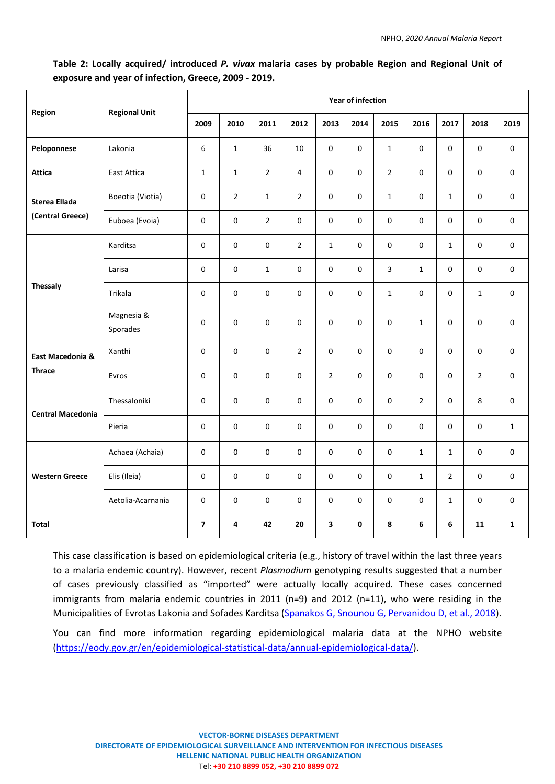# **Table 2: Locally acquired/ introduced** *P. vivax* **malaria cases by probable Region and Regional Unit of exposure and year of infection, Greece, 2009 - 2019.**

| Region                                   | <b>Regional Unit</b>   | Year of infection |                |                |                |                         |              |                |                |                |                |                     |
|------------------------------------------|------------------------|-------------------|----------------|----------------|----------------|-------------------------|--------------|----------------|----------------|----------------|----------------|---------------------|
|                                          |                        | 2009              | 2010           | 2011           | 2012           | 2013                    | 2014         | 2015           | 2016           | 2017           | 2018           | 2019                |
| Peloponnese                              | Lakonia                | 6                 | $\mathbf{1}$   | 36             | 10             | $\mathbf 0$             | 0            | $\mathbf{1}$   | $\mathbf 0$    | 0              | $\mathbf 0$    | $\mathsf{O}\xspace$ |
| <b>Attica</b>                            | East Attica            | $\mathbf{1}$      | $\mathbf{1}$   | $\overline{2}$ | 4              | 0                       | 0            | $\overline{2}$ | 0              | 0              | 0              | $\mathsf{O}\xspace$ |
| <b>Sterea Ellada</b><br>(Central Greece) | Boeotia (Viotia)       | $\pmb{0}$         | $\overline{2}$ | $\mathbf{1}$   | $\overline{2}$ | $\pmb{0}$               | 0            | $\mathbf{1}$   | $\mathsf 0$    | $\mathbf{1}$   | 0              | 0                   |
|                                          | Euboea (Evoia)         | 0                 | 0              | $\overline{2}$ | 0              | $\pmb{0}$               | 0            | 0              | $\mathbf 0$    | 0              | $\mathbf 0$    | 0                   |
| <b>Thessaly</b>                          | Karditsa               | 0                 | 0              | 0              | $\overline{2}$ | $\mathbf{1}$            | $\Omega$     | 0              | $\Omega$       | $\mathbf{1}$   | 0              | 0                   |
|                                          | Larisa                 | $\mathbf 0$       | 0              | $\mathbf{1}$   | 0              | 0                       | 0            | 3              | $\mathbf{1}$   | 0              | 0              | $\mathbf 0$         |
|                                          | Trikala                | $\mathsf 0$       | 0              | 0              | 0              | 0                       | 0            | $\mathbf{1}$   | 0              | 0              | $\mathbf{1}$   | $\mathsf{O}\xspace$ |
|                                          | Magnesia &<br>Sporades | 0                 | 0              | 0              | 0              | $\mathsf 0$             | 0            | 0              | $\mathbf{1}$   | 0              | $\mathbf 0$    | $\mathsf{O}\xspace$ |
| East Macedonia &<br><b>Thrace</b>        | Xanthi                 | $\pmb{0}$         | 0              | $\mathbf 0$    | $\overline{2}$ | $\mathbf 0$             | 0            | $\mathbf 0$    | $\mathbf 0$    | 0              | $\mathbf 0$    | 0                   |
|                                          | Evros                  | 0                 | 0              | 0              | 0              | $\overline{2}$          | $\mathbf 0$  | $\pmb{0}$      | $\mathsf 0$    | 0              | $\overline{2}$ | 0                   |
| <b>Central Macedonia</b>                 | Thessaloniki           | $\pmb{0}$         | 0              | 0              | 0              | $\pmb{0}$               | 0            | 0              | $\overline{2}$ | $\pmb{0}$      | 8              | 0                   |
|                                          | Pieria                 | 0                 | 0              | 0              | 0              | $\pmb{0}$               | 0            | 0              | $\mathbf 0$    | 0              | 0              | $\mathbf{1}$        |
| <b>Western Greece</b>                    | Achaea (Achaia)        | 0                 | 0              | 0              | 0              | 0                       | 0            | 0              | $\mathbf{1}$   | $\mathbf{1}$   | 0              | $\mathsf{O}\xspace$ |
|                                          | Elis (Ileia)           | 0                 | 0              | 0              | 0              | $\pmb{0}$               | 0            | 0              | $\mathbf{1}$   | $\overline{2}$ | 0              | 0                   |
|                                          | Aetolia-Acarnania      | 0                 | 0              | 0              | 0              | $\pmb{0}$               | $\Omega$     | 0              | 0              | $\mathbf{1}$   | 0              | 0                   |
| <b>Total</b>                             |                        | $\overline{7}$    | 4              | 42             | 20             | $\overline{\mathbf{3}}$ | $\mathbf{0}$ | 8              | 6              | 6              | 11             | $\mathbf{1}$        |

This case classification is based on epidemiological criteria (e.g., history of travel within the last three years to a malaria endemic country). However, recent *Plasmodium* genotyping results suggested that a number of cases previously classified as "imported" were actually locally acquired. These cases concerned immigrants from malaria endemic countries in 2011 (n=9) and 2012 (n=11), who were residing in the Municipalities of Evrotas Lakonia and Sofades Karditsa [\(Spanakos G, Snounou G, Pervanidou D, et al., 2018\)](https://wwwnc.cdc.gov/eid/article/24/3/17-0605_article).

You can find more information regarding epidemiological malaria data at the NPHO website [\(https://eody.gov.gr/en/epidemiological-statistical-data/annual-epidemiological-data/\)](https://eody.gov.gr/en/epidemiological-statistical-data/annual-epidemiological-data/).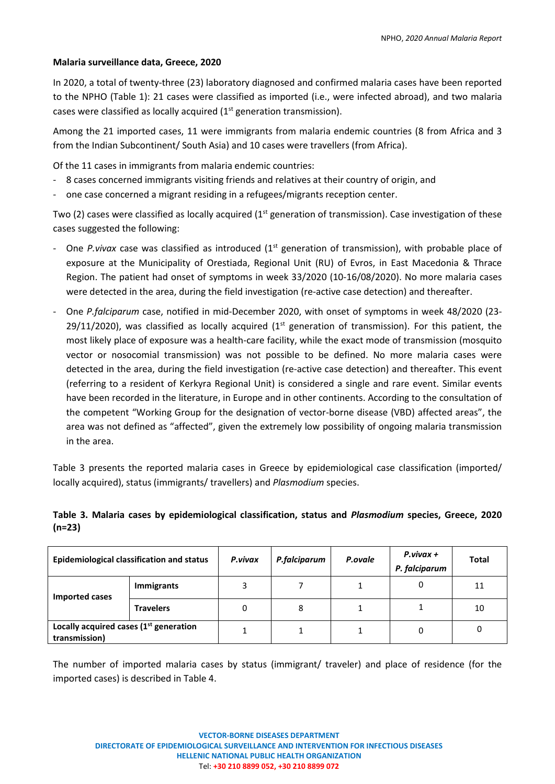## **Malaria surveillance data, Greece, 2020**

In 2020, a total of twenty-three (23) laboratory diagnosed and confirmed malaria cases have been reported to the NPHO (Table 1): 21 cases were classified as imported (i.e., were infected abroad), and two malaria cases were classified as locally acquired (1<sup>st</sup> generation transmission).

Among the 21 imported cases, 11 were immigrants from malaria endemic countries (8 from Africa and 3 from the Indian Subcontinent/ South Asia) and 10 cases were travellers (from Africa).

Of the 11 cases in immigrants from malaria endemic countries:

- 8 cases concerned immigrants visiting friends and relatives at their country of origin, and
- one case concerned a migrant residing in a refugees/migrants reception center.

Two (2) cases were classified as locally acquired (1<sup>st</sup> generation of transmission). Case investigation of these cases suggested the following:

- One *P.vivax* case was classified as introduced (1<sup>st</sup> generation of transmission), with probable place of exposure at the Municipality of Orestiada, Regional Unit (RU) of Evros, in East Macedonia & Thrace Region. The patient had onset of symptoms in week 33/2020 (10-16/08/2020). No more malaria cases were detected in the area, during the field investigation (re-active case detection) and thereafter.
- ‐ One *P.falciparum* case, notified in mid-December 2020, with onset of symptoms in week 48/2020 (23- 29/11/2020), was classified as locally acquired  $(1<sup>st</sup>$  generation of transmission). For this patient, the most likely place of exposure was a health-care facility, while the exact mode of transmission (mosquito vector or nosocomial transmission) was not possible to be defined. No more malaria cases were detected in the area, during the field investigation (re-active case detection) and thereafter. This event (referring to a resident of Kerkyra Regional Unit) is considered a single and rare event. Similar events have been recorded in the literature, in Europe and in other continents. According to the consultation of the competent "Working Group for the designation of vector-borne disease (VBD) affected areas", the area was not defined as "affected", given the extremely low possibility of ongoing malaria transmission in the area.

Table 3 presents the reported malaria cases in Greece by epidemiological case classification (imported/ locally acquired), status (immigrants/ travellers) and *Plasmodium* species.

# **Table 3. Malaria cases by epidemiological classification, status and** *Plasmodium* **species, Greece, 2020 (n=23)**

|                                                           | <b>Epidemiological classification and status</b> | P.vivax | P.falciparum | P.ovale | $P.vivax +$<br>P. falciparum | Total |
|-----------------------------------------------------------|--------------------------------------------------|---------|--------------|---------|------------------------------|-------|
| Imported cases                                            | Immigrants                                       |         |              |         | 0                            | 11    |
|                                                           | <b>Travelers</b>                                 |         | 8            |         |                              | 10    |
| Locally acquired cases $(1st$ generation<br>transmission) |                                                  |         |              |         |                              |       |

The number of imported malaria cases by status (immigrant/ traveler) and place of residence (for the imported cases) is described in Table 4.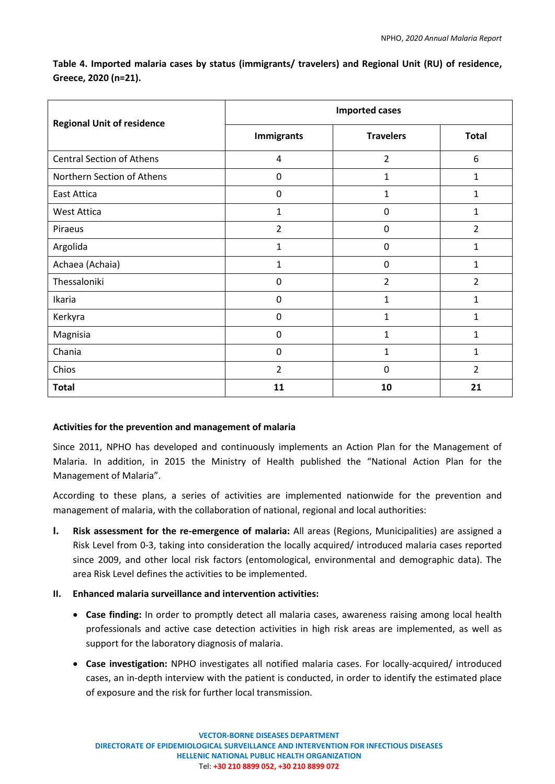**Table 4. Imported malaria cases by status (immigrants/ travelers) and Regional Unit (RU) of residence, Greece, 2020 (n=21).** 

| <b>Regional Unit of residence</b> | <b>Imported cases</b> |                  |                |  |  |  |
|-----------------------------------|-----------------------|------------------|----------------|--|--|--|
|                                   | <b>Immigrants</b>     | <b>Travelers</b> | <b>Total</b>   |  |  |  |
| <b>Central Section of Athens</b>  | 4                     | $\overline{2}$   | 6              |  |  |  |
| Northern Section of Athens        | 0                     | $\mathbf{1}$     | 1              |  |  |  |
| <b>East Attica</b>                | 0                     | $\mathbf{1}$     | 1              |  |  |  |
| <b>West Attica</b>                | $\mathbf{1}$          | $\mathbf 0$      | 1              |  |  |  |
| Piraeus                           | $\overline{2}$        | $\mathbf 0$      | $\overline{2}$ |  |  |  |
| Argolida                          | $\mathbf{1}$          | $\mathbf 0$      | 1              |  |  |  |
| Achaea (Achaia)                   | 1                     | 0                | 1              |  |  |  |
| Thessaloniki                      | 0                     | $\overline{2}$   | $\overline{2}$ |  |  |  |
| Ikaria                            | $\mathbf 0$           | $\mathbf{1}$     | 1              |  |  |  |
| Kerkyra                           | $\mathbf 0$           | $\mathbf{1}$     | 1              |  |  |  |
| Magnisia                          | 0                     | $\mathbf{1}$     | 1              |  |  |  |
| Chania                            | $\mathbf 0$           | 1                | 1              |  |  |  |
| Chios                             | $\overline{2}$        | $\mathbf 0$      | $\overline{2}$ |  |  |  |
| <b>Total</b>                      | 11                    | 10               | 21             |  |  |  |

## **Activities for the prevention and management of malaria**

Since 2011, NPHO has developed and continuously implements an Action Plan for the Management of Malaria. In addition, in 2015 the Ministry of Health published the "National Action Plan for the Management of Malaria".

According to these plans, a series of activities are implemented nationwide for the prevention and management of malaria, with the collaboration of national, regional and local authorities:

- **I. Risk assessment for the re-emergence of malaria:** All areas (Regions, Municipalities) are assigned a Risk Level from 0-3, taking into consideration the locally acquired/ introduced malaria cases reported since 2009, and other local risk factors (entomological, environmental and demographic data). The area Risk Level defines the activities to be implemented.
- **II. Enhanced malaria surveillance and intervention activities:**
	- **Case finding:** In order to promptly detect all malaria cases, awareness raising among local health professionals and active case detection activities in high risk areas are implemented, as well as support for the laboratory diagnosis of malaria.
	- **Case investigation:** NPHO investigates all notified malaria cases. For locally-acquired/ introduced cases, an in-depth interview with the patient is conducted, in order to identify the estimated place of exposure and the risk for further local transmission.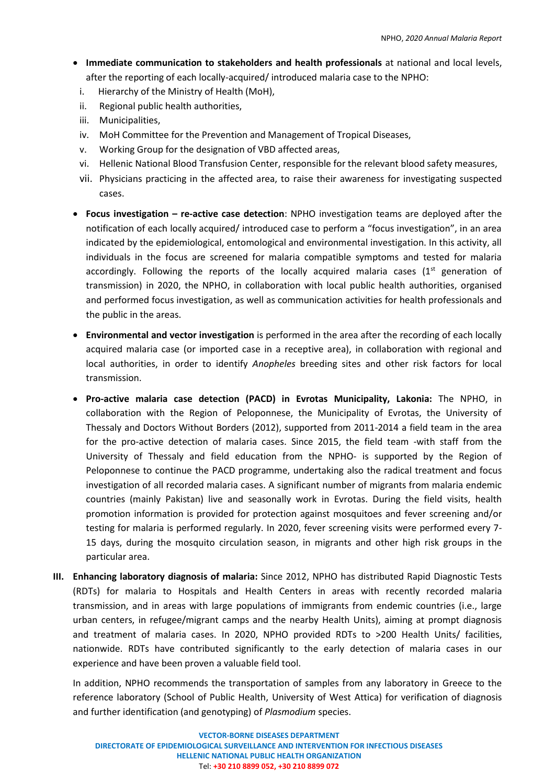- **Immediate communication to stakeholders and health professionals** at national and local levels, after the reporting of each locally-acquired/ introduced malaria case to the NPHO:
- i. Hierarchy of the Ministry of Health (MoH),
- ii. Regional public health authorities,
- iii. Municipalities,
- iv. MoH Committee for the Prevention and Management of Tropical Diseases,
- v. Working Group for the designation of VBD affected areas,
- vi. Hellenic National Blood Transfusion Center, responsible for the relevant blood safety measures,
- vii. Physicians practicing in the affected area, to raise their awareness for investigating suspected cases.
- **Focus investigation – re-active case detection**: NPHO investigation teams are deployed after the notification of each locally acquired/ introduced case to perform a "focus investigation", in an area indicated by the epidemiological, entomological and environmental investigation. In this activity, all individuals in the focus are screened for malaria compatible symptoms and tested for malaria accordingly. Following the reports of the locally acquired malaria cases  $(1<sup>st</sup>$  generation of transmission) in 2020, the NPHO, in collaboration with local public health authorities, organised and performed focus investigation, as well as communication activities for health professionals and the public in the areas.
- **Environmental and vector investigation** is performed in the area after the recording of each locally acquired malaria case (or imported case in a receptive area), in collaboration with regional and local authorities, in order to identify *Anopheles* breeding sites and other risk factors for local transmission.
- **Pro-active malaria case detection (PACD) in Evrotas Municipality, Lakonia:** The NPHO, in collaboration with the Region of Peloponnese, the Municipality of Evrotas, the University of Thessaly and Doctors Without Borders (2012), supported from 2011-2014 a field team in the area for the pro-active detection of malaria cases. Since 2015, the field team -with staff from the University of Thessaly and field education from the NPHO- is supported by the Region of Peloponnese to continue the PACD programme, undertaking also the radical treatment and focus investigation of all recorded malaria cases. A significant number of migrants from malaria endemic countries (mainly Pakistan) live and seasonally work in Evrotas. During the field visits, health promotion information is provided for protection against mosquitoes and fever screening and/or testing for malaria is performed regularly. In 2020, fever screening visits were performed every 7- 15 days, during the mosquito circulation season, in migrants and other high risk groups in the particular area.
- **III. Enhancing laboratory diagnosis of malaria:** Since 2012, NPHO has distributed Rapid Diagnostic Tests (RDTs) for malaria to Hospitals and Health Centers in areas with recently recorded malaria transmission, and in areas with large populations of immigrants from endemic countries (i.e., large urban centers, in refugee/migrant camps and the nearby Health Units), aiming at prompt diagnosis and treatment of malaria cases. In 2020, NPHO provided RDTs to >200 Health Units/ facilities, nationwide. RDTs have contributed significantly to the early detection of malaria cases in our experience and have been proven a valuable field tool.

In addition, NPHO recommends the transportation of samples from any laboratory in Greece to the reference laboratory (School of Public Health, University of West Attica) for verification of diagnosis and further identification (and genotyping) of *Plasmodium* species.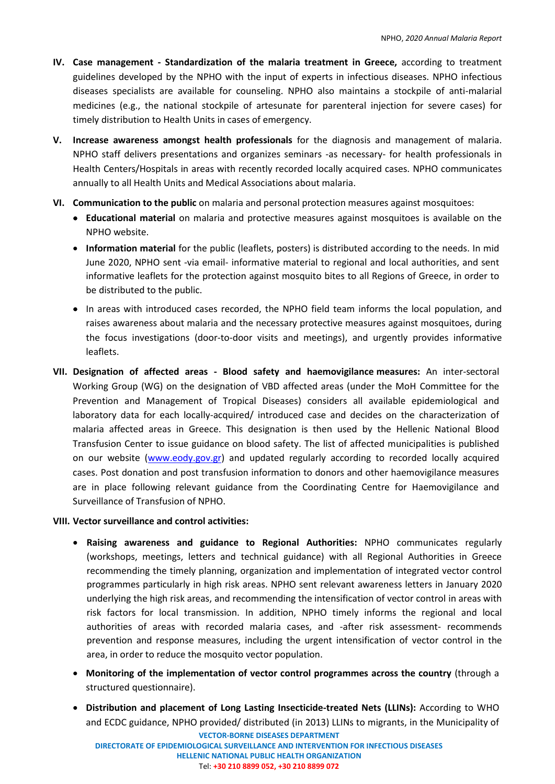- **IV. Case management - Standardization of the malaria treatment in Greece,** according to treatment guidelines developed by the NPHO with the input of experts in infectious diseases. NPHO infectious diseases specialists are available for counseling. NPHO also maintains a stockpile of anti-malarial medicines (e.g., the national stockpile of artesunate for parenteral injection for severe cases) for timely distribution to Health Units in cases of emergency.
- **V. Increase awareness amongst health professionals** for the diagnosis and management of malaria. NPHO staff delivers presentations and organizes seminars -as necessary- for health professionals in Health Centers/Hospitals in areas with recently recorded locally acquired cases. NPHO communicates annually to all Health Units and Medical Associations about malaria.
- **VI. Communication to the public** on malaria and personal protection measures against mosquitoes:
	- **Educational material** on malaria and protective measures against mosquitoes is available on the NPHO website.
	- **Information material** for the public (leaflets, posters) is distributed according to the needs. In mid June 2020, NPHO sent -via email- informative material to regional and local authorities, and sent informative leaflets for the protection against mosquito bites to all Regions of Greece, in order to be distributed to the public.
	- In areas with introduced cases recorded, the NPHO field team informs the local population, and raises awareness about malaria and the necessary protective measures against mosquitoes, during the focus investigations (door-to-door visits and meetings), and urgently provides informative leaflets.
- **VII. Designation of affected areas - Blood safety and haemovigilance measures:** An inter-sectoral Working Group (WG) on the designation of VBD affected areas (under the MoH Committee for the Prevention and Management of Tropical Diseases) considers all available epidemiological and laboratory data for each locally-acquired/ introduced case and decides on the characterization of malaria affected areas in Greece. This designation is then used by the Hellenic National Blood Transfusion Center to issue guidance on blood safety. The list of affected municipalities is published on our website [\(www.eody.gov.gr\)](http://www.eody.gov.gr/) and updated regularly according to recorded locally acquired cases. Post donation and post transfusion information to donors and other haemovigilance measures are in place following relevant guidance from the Coordinating Centre for Haemovigilance and Surveillance of Transfusion of NPHO.

# **VIII. Vector surveillance and control activities:**

- **Raising awareness and guidance to Regional Authorities:** NPHO communicates regularly (workshops, meetings, letters and technical guidance) with all Regional Authorities in Greece recommending the timely planning, organization and implementation of integrated vector control programmes particularly in high risk areas. NPHO sent relevant awareness letters in January 2020 underlying the high risk areas, and recommending the intensification of vector control in areas with risk factors for local transmission. In addition, NPHO timely informs the regional and local authorities of areas with recorded malaria cases, and -after risk assessment- recommends prevention and response measures, including the urgent intensification of vector control in the area, in order to reduce the mosquito vector population.
- **Monitoring of the implementation of vector control programmes across the country** (through a structured questionnaire).
- **Distribution and placement of Long Lasting Insecticide-treated Nets (LLINs):** According to WHO and ECDC guidance, NPHO provided/ distributed (in 2013) LLINs to migrants, in the Municipality of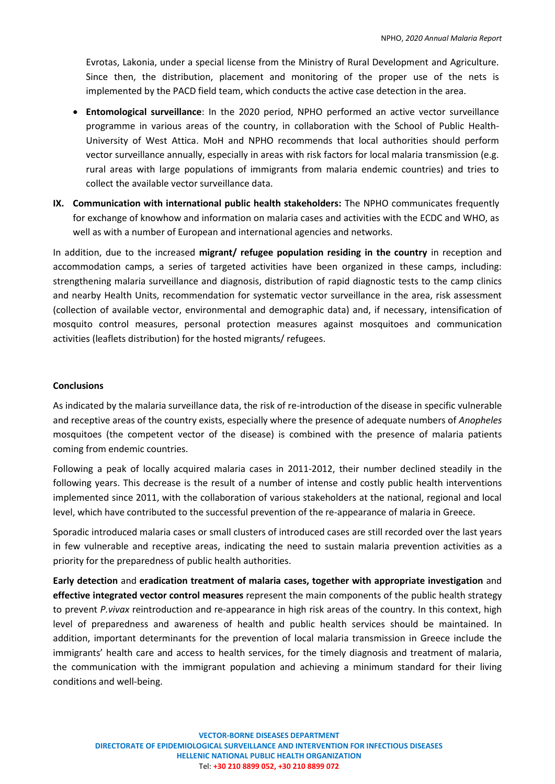Evrotas, Lakonia, under a special license from the Ministry of Rural Development and Agriculture. Since then, the distribution, placement and monitoring of the proper use of the nets is implemented by the PACD field team, which conducts the active case detection in the area.

- **Entomological surveillance**: In the 2020 period, NPHO performed an active vector surveillance programme in various areas of the country, in collaboration with the School of Public Health-University of West Attica. MoH and NPHO recommends that local authorities should perform vector surveillance annually, especially in areas with risk factors for local malaria transmission (e.g. rural areas with large populations of immigrants from malaria endemic countries) and tries to collect the available vector surveillance data.
- **IX. Communication with international public health stakeholders:** The NPHO communicates frequently for exchange of knowhow and information on malaria cases and activities with the ECDC and WHO, as well as with a number of European and international agencies and networks.

In addition, due to the increased **migrant/ refugee population residing in the country** in reception and accommodation camps, a series of targeted activities have been organized in these camps, including: strengthening malaria surveillance and diagnosis, distribution of rapid diagnostic tests to the camp clinics and nearby Health Units, recommendation for systematic vector surveillance in the area, risk assessment (collection of available vector, environmental and demographic data) and, if necessary, intensification of mosquito control measures, personal protection measures against mosquitoes and communication activities (leaflets distribution) for the hosted migrants/ refugees.

### **Conclusions**

As indicated by the malaria surveillance data, the risk of re-introduction of the disease in specific vulnerable and receptive areas of the country exists, especially where the presence of adequate numbers of *Anopheles* mosquitoes (the competent vector of the disease) is combined with the presence of malaria patients coming from endemic countries.

Following a peak of locally acquired malaria cases in 2011-2012, their number declined steadily in the following years. This decrease is the result of a number of intense and costly public health interventions implemented since 2011, with the collaboration of various stakeholders at the national, regional and local level, which have contributed to the successful prevention of the re-appearance of malaria in Greece.

Sporadic introduced malaria cases or small clusters of introduced cases are still recorded over the last years in few vulnerable and receptive areas, indicating the need to sustain malaria prevention activities as a priority for the preparedness of public health authorities.

**Early detection** and **eradication treatment of malaria cases, together with appropriate investigation** and **effective integrated vector control measures** represent the main components of the public health strategy to prevent *P.vivax* reintroduction and re-appearance in high risk areas of the country. In this context, high level of preparedness and awareness of health and public health services should be maintained. In addition, important determinants for the prevention of local malaria transmission in Greece include the immigrants' health care and access to health services, for the timely diagnosis and treatment of malaria, the communication with the immigrant population and achieving a minimum standard for their living conditions and well-being.